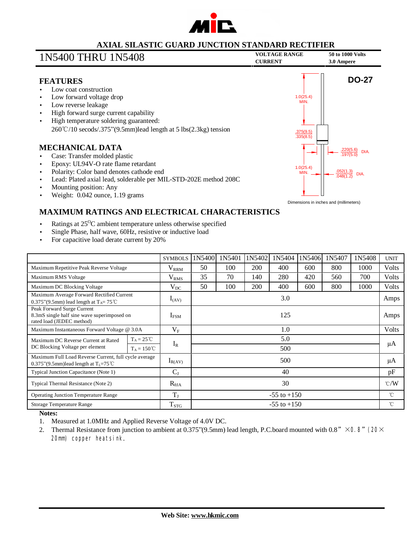

### **AXIAL SILASTIC GUARD JUNCTION STANDARD RECTIFIER**

### **VOLTAGE RANGE <sup>50</sup> to <sup>1000</sup> Volts** 1N5400 THRU 1N5408 **CURRENT 3.0 Ampere**

#### **FEATURES**

- Low coat construction
- Low forward voltage drop
- Low reverse leakage
- High forward surge current capability
- High temperature soldering guaranteed: 260℃/10 secods/.375"(9.5mm)lead length at 5 lbs(2.3kg) tension

#### **MECHANICAL DATA**

- Case: Transfer molded plastic
- Epoxy: UL94V-O rate flame retardant
- Polarity: Color band denotes cathode end
- Lead: Plated axial lead, solderable per MIL-STD-202E method 208C
- Mounting position: Any
- Weight: 0.042 ounce, 1.19 grams



### **MAXIMUM RATINGS AND ELECTRICAL CHARACTERISTICS**

- Ratings at 25<sup>o</sup>C ambient temperature unless otherwise specified
- Single Phase, half wave, 60Hz, resistive or inductive load
- For capacitive load derate current by 20%

|                                                                                                           |                      | <b>SYMBOLS</b>    | 1N5400          | 1N5401 | 1N5402 | 1N5404 | 1N5406 | 1N5407 | 1N5408 | <b>UNIT</b>   |
|-----------------------------------------------------------------------------------------------------------|----------------------|-------------------|-----------------|--------|--------|--------|--------|--------|--------|---------------|
| Maximum Repetitive Peak Reverse Voltage                                                                   |                      | $\rm V_{\rm RRM}$ | 50              | 100    | 200    | 400    | 600    | 800    | 1000   | Volts         |
| Maximum RMS Voltage                                                                                       |                      | V <sub>RMS</sub>  | 35              | 70     | 140    | 280    | 420    | 560    | 700    | <b>Volts</b>  |
| Maximum DC Blocking Voltage                                                                               |                      | $V_{DC}$          | 50              | 100    | 200    | 400    | 600    | 800    | 1000   | Volts         |
| Maximum Average Forward Rectified Current<br>0.375"(9.5mm) lead length at $T_A = 75^{\circ}$ C            |                      | $I_{(AV)}$        | 3.0             |        |        |        |        |        |        | Amps          |
| Peak Forward Surge Current<br>8.3mS single half sine wave superimposed on<br>rated load (JEDEC method)    |                      | $I_{FSM}$         | 125             |        |        |        |        |        |        | Amps          |
| Maximum Instantaneous Forward Voltage @ 3.0A                                                              |                      | $V_{\rm F}$       | 1.0             |        |        |        |        |        |        | <b>Volts</b>  |
| Maximum DC Reverse Current at Rated<br>DC Blocking Voltage per element                                    | $T_A = 25^{\circ}C$  |                   | 5.0             |        |        |        |        |        |        | μA            |
|                                                                                                           | $T_A = 150^{\circ}C$ | $I_R$             | 500             |        |        |        |        |        |        |               |
| Maximum Full Load Reverse Current, full cycle average<br>0.375"(9.5mm)lead length at $T_1 = 75^{\circ}$ C |                      | $I_{R(AV)}$       | 500             |        |        |        |        |        |        | μA            |
| Typical Junction Capacitance (Note 1)                                                                     |                      | $C_{J}$           | 40              |        |        |        |        |        |        | pF            |
| Typical Thermal Resistance (Note 2)                                                                       |                      | $R_{\theta JA}$   | 30              |        |        |        |        |        |        | $\degree$ C/W |
| <b>Operating Junction Temperature Range</b>                                                               |                      | $T_{J}$           | $-55$ to $+150$ |        |        |        |        |        |        | $^{\circ}$ C  |
| Storage Temperature Range                                                                                 |                      | $T_{STG}$         | $-55$ to $+150$ |        |        |        |        |        |        | °C            |

**Notes:**

- 1. Measured at 1.0MHz and Applied Reverse Voltage of 4.0V DC.
- 2. Thermal Resistance from junction to ambient at 0.375"(9.5mm) lead length, P.C.board mounted with 0.8"  $\times$  O8" (20 $\times$ 20m) copper heatsink